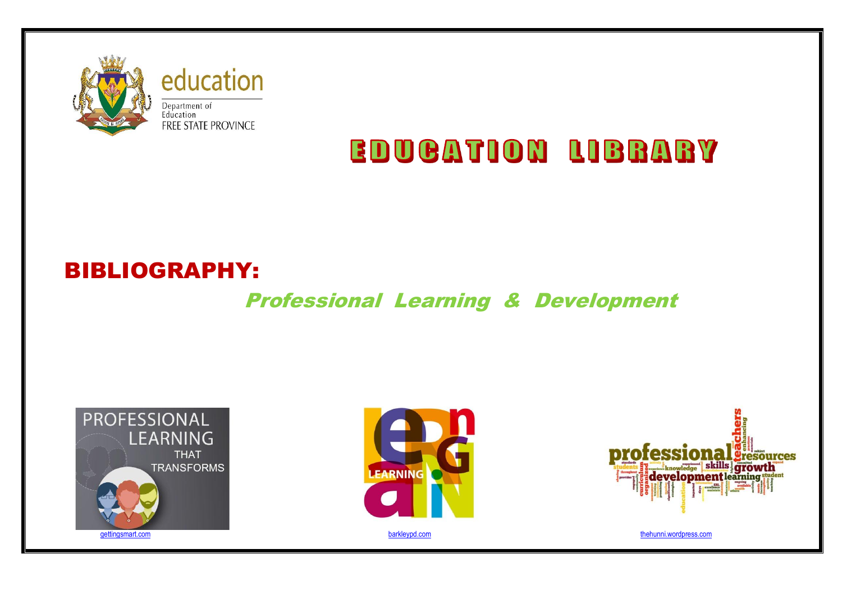

**EDUCATION LIBRARY** 

# BIBLIOGRAPHY:

# Professional Learning & Development





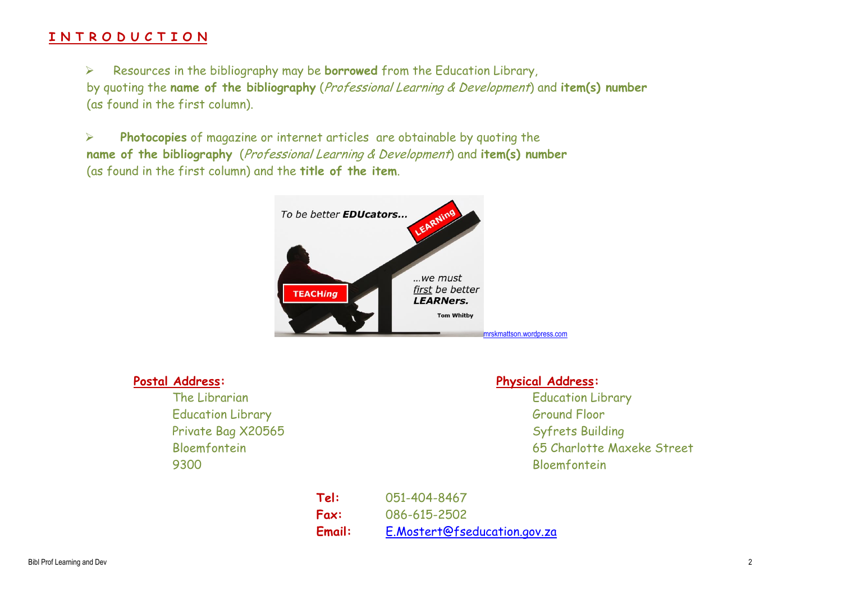### **I N T R O D U C T I O N**

 Resources in the bibliography may be **borrowed** from the Education Library, by quoting the **name of the bibliography** (Professional Learning & Development) and **item(s) number** (as found in the first column).

 **Photocopies** of magazine or internet articles are obtainable by quoting the **name of the bibliography** (Professional Learning & Development) and **item(s) number** (as found in the first column) and the **title of the item**.



Education Library Ground Floor Private Bag X20565 Syfrets Building 9300 Bloemfontein

#### **Postal Address: Physical Address:**

The Librarian Education Library Contract Contract Contract Contract Contract Contract Contract Contract Contract Contract Contract Contract Contract Contract Contract Contract Contract Contract Contract Contract Contract C Bloemfontein 65 Charlotte Maxeke Street

> **Tel:** 051-404-8467 **Fax:** 086-615-2502 **Email:** [E.Mostert@fseducation.gov.za](mailto:E.Mostert@fseducation.gov.za)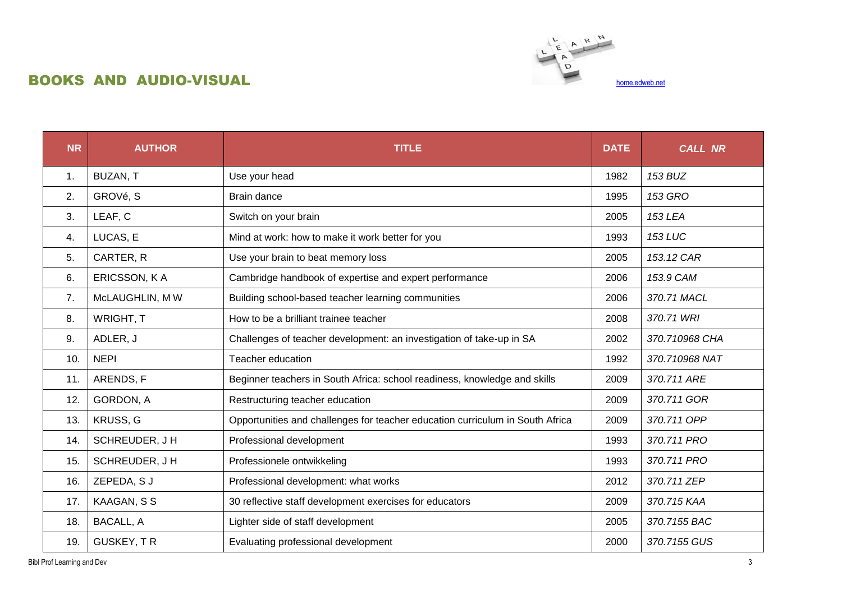## BOOKS AND AUDIO-VISUAL [home.edweb.net](http://home.edweb.net/innovative-professional-development-rethinking-methods-opportunities-for-teacher-learning/)



| <b>NR</b> | <b>AUTHOR</b>     | <b>TITLE</b><br><b>DATE</b>                                                   |      | <b>CALL NR</b> |
|-----------|-------------------|-------------------------------------------------------------------------------|------|----------------|
| 1.        | BUZAN, T          | Use your head                                                                 | 1982 | 153 BUZ        |
| 2.        | GROVé, S          | Brain dance                                                                   | 1995 | <b>153 GRO</b> |
| 3.        | LEAF, C           | Switch on your brain                                                          | 2005 | <b>153 LEA</b> |
| 4.        | LUCAS, E          | Mind at work: how to make it work better for you                              | 1993 | <b>153 LUC</b> |
| 5.        | CARTER, R         | Use your brain to beat memory loss                                            | 2005 | 153.12 CAR     |
| 6.        | ERICSSON, KA      | Cambridge handbook of expertise and expert performance                        | 2006 | 153.9 CAM      |
| 7.        | McLAUGHLIN, MW    | Building school-based teacher learning communities                            | 2006 | 370.71 MACL    |
| 8.        | WRIGHT, T         | How to be a brilliant trainee teacher                                         | 2008 | 370.71 WRI     |
| 9.        | ADLER, J          | Challenges of teacher development: an investigation of take-up in SA          | 2002 | 370.710968 CHA |
| 10.       | <b>NEPI</b>       | Teacher education                                                             | 1992 | 370.710968 NAT |
| 11.       | ARENDS, F         | Beginner teachers in South Africa: school readiness, knowledge and skills     | 2009 | 370.711 ARE    |
| 12.       | GORDON, A         | Restructuring teacher education                                               | 2009 | 370.711 GOR    |
| 13.       | KRUSS, G          | Opportunities and challenges for teacher education curriculum in South Africa | 2009 | 370.711 OPP    |
| 14.       | SCHREUDER, J H    | Professional development                                                      | 1993 | 370.711 PRO    |
| 15.       | SCHREUDER, J H    | Professionele ontwikkeling                                                    | 1993 | 370.711 PRO    |
| 16.       | ZEPEDA, SJ        | Professional development: what works                                          | 2012 | 370.711 ZEP    |
| 17.       | KAAGAN, S S       | 30 reflective staff development exercises for educators                       | 2009 | 370.715 KAA    |
| 18.       | <b>BACALL, A</b>  | Lighter side of staff development                                             | 2005 | 370.7155 BAC   |
| 19.       | <b>GUSKEY, TR</b> | Evaluating professional development                                           | 2000 | 370.7155 GUS   |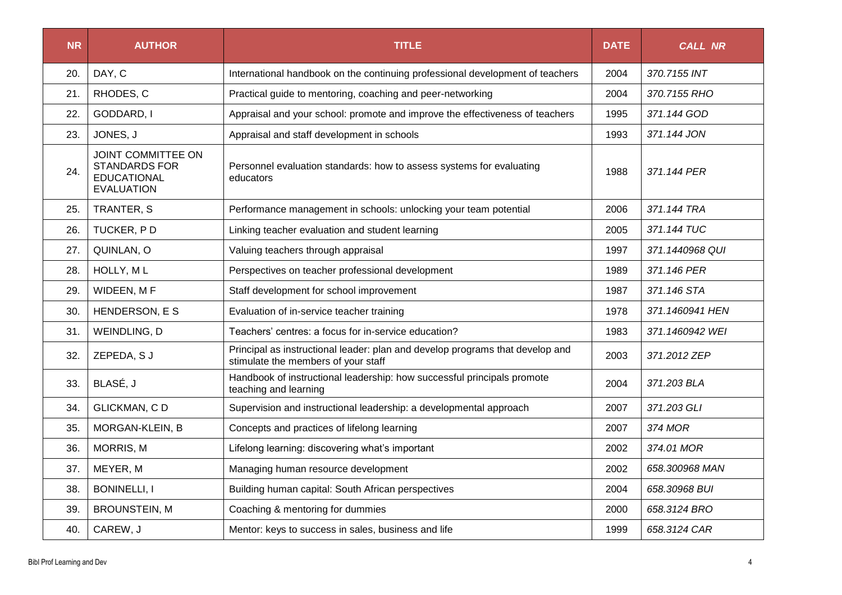| <b>NR</b> | <b>AUTHOR</b>                                                                                | <b>TITLE</b><br><b>DATE</b>                                                                                          |      | <b>CALL NR</b>  |
|-----------|----------------------------------------------------------------------------------------------|----------------------------------------------------------------------------------------------------------------------|------|-----------------|
| 20.       | DAY, C                                                                                       | International handbook on the continuing professional development of teachers                                        | 2004 | 370.7155 INT    |
| 21.       | RHODES, C                                                                                    | Practical guide to mentoring, coaching and peer-networking                                                           | 2004 | 370.7155 RHO    |
| 22.       | GODDARD, I                                                                                   | Appraisal and your school: promote and improve the effectiveness of teachers                                         | 1995 | 371.144 GOD     |
| 23.       | JONES, J                                                                                     | Appraisal and staff development in schools                                                                           | 1993 | 371.144 JON     |
| 24.       | <b>JOINT COMMITTEE ON</b><br><b>STANDARDS FOR</b><br><b>EDUCATIONAL</b><br><b>EVALUATION</b> | Personnel evaluation standards: how to assess systems for evaluating<br>educators                                    |      | 371.144 PER     |
| 25.       | TRANTER, S                                                                                   | Performance management in schools: unlocking your team potential                                                     | 2006 | 371.144 TRA     |
| 26.       | TUCKER, PD                                                                                   | Linking teacher evaluation and student learning                                                                      | 2005 | 371.144 TUC     |
| 27.       | QUINLAN, O                                                                                   | Valuing teachers through appraisal                                                                                   | 1997 | 371.1440968 QUI |
| 28.       | HOLLY, ML                                                                                    | Perspectives on teacher professional development                                                                     | 1989 | 371.146 PER     |
| 29.       | WIDEEN, MF                                                                                   | Staff development for school improvement                                                                             | 1987 | 371.146 STA     |
| 30.       | HENDERSON, E S                                                                               | Evaluation of in-service teacher training                                                                            |      | 371.1460941 HEN |
| 31.       | WEINDLING, D                                                                                 | Teachers' centres: a focus for in-service education?                                                                 | 1983 | 371.1460942 WEI |
| 32.       | ZEPEDA, S J                                                                                  | Principal as instructional leader: plan and develop programs that develop and<br>stimulate the members of your staff | 2003 | 371.2012 ZEP    |
| 33.       | BLASÉ, J                                                                                     | Handbook of instructional leadership: how successful principals promote<br>teaching and learning                     | 2004 | 371.203 BLA     |
| 34.       | <b>GLICKMAN, CD</b>                                                                          | Supervision and instructional leadership: a developmental approach                                                   | 2007 | 371.203 GLI     |
| 35.       | MORGAN-KLEIN, B                                                                              | Concepts and practices of lifelong learning                                                                          | 2007 | 374 MOR         |
| 36.       | MORRIS, M                                                                                    | Lifelong learning: discovering what's important                                                                      | 2002 | 374.01 MOR      |
| 37.       | MEYER, M                                                                                     | Managing human resource development                                                                                  | 2002 | 658.300968 MAN  |
| 38.       | <b>BONINELLI, I</b>                                                                          | Building human capital: South African perspectives                                                                   | 2004 | 658.30968 BUI   |
| 39.       | <b>BROUNSTEIN, M</b>                                                                         | Coaching & mentoring for dummies                                                                                     | 2000 | 658.3124 BRO    |
| 40.       | CAREW, J                                                                                     | Mentor: keys to success in sales, business and life                                                                  | 1999 | 658.3124 CAR    |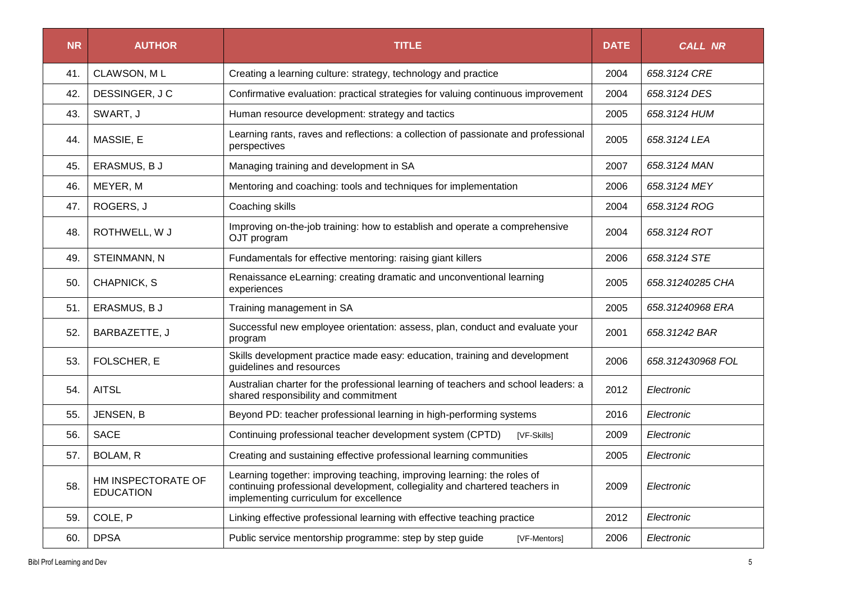| <b>NR</b> | <b>AUTHOR</b>                          | <b>TITLE</b>                                                                                                                                                                                     |      | <b>CALL NR</b>    |
|-----------|----------------------------------------|--------------------------------------------------------------------------------------------------------------------------------------------------------------------------------------------------|------|-------------------|
| 41.       | CLAWSON, ML                            | Creating a learning culture: strategy, technology and practice                                                                                                                                   | 2004 | 658.3124 CRE      |
| 42.       | DESSINGER, JC                          | Confirmative evaluation: practical strategies for valuing continuous improvement                                                                                                                 | 2004 | 658.3124 DES      |
| 43.       | SWART, J                               | Human resource development: strategy and tactics                                                                                                                                                 | 2005 | 658.3124 HUM      |
| 44.       | MASSIE, E                              | Learning rants, raves and reflections: a collection of passionate and professional<br>perspectives                                                                                               | 2005 | 658.3124 LEA      |
| 45.       | ERASMUS, B J                           | Managing training and development in SA                                                                                                                                                          | 2007 | 658.3124 MAN      |
| 46.       | MEYER, M                               | Mentoring and coaching: tools and techniques for implementation                                                                                                                                  | 2006 | 658.3124 MEY      |
| 47.       | ROGERS, J                              | Coaching skills                                                                                                                                                                                  | 2004 | 658.3124 ROG      |
| 48.       | ROTHWELL, W J                          | Improving on-the-job training: how to establish and operate a comprehensive<br>OJT program                                                                                                       | 2004 | 658.3124 ROT      |
| 49.       | STEINMANN, N                           | Fundamentals for effective mentoring: raising giant killers                                                                                                                                      | 2006 | 658.3124 STE      |
| 50.       | CHAPNICK, S                            | Renaissance eLearning: creating dramatic and unconventional learning<br>experiences                                                                                                              |      | 658.31240285 CHA  |
| 51.       | ERASMUS, B J                           | Training management in SA                                                                                                                                                                        |      | 658.31240968 ERA  |
| 52.       | BARBAZETTE, J                          | Successful new employee orientation: assess, plan, conduct and evaluate your<br>program                                                                                                          | 2001 | 658.31242 BAR     |
| 53.       | FOLSCHER, E                            | Skills development practice made easy: education, training and development<br>guidelines and resources                                                                                           | 2006 | 658.312430968 FOL |
| 54.       | <b>AITSL</b>                           | Australian charter for the professional learning of teachers and school leaders: a<br>shared responsibility and commitment                                                                       | 2012 | Electronic        |
| 55.       | JENSEN, B                              | Beyond PD: teacher professional learning in high-performing systems                                                                                                                              | 2016 | Electronic        |
| 56.       | <b>SACE</b>                            | Continuing professional teacher development system (CPTD)<br>[VF-Skills]                                                                                                                         | 2009 | Electronic        |
| 57.       | BOLAM, R                               | Creating and sustaining effective professional learning communities                                                                                                                              |      | Electronic        |
| 58.       | HM INSPECTORATE OF<br><b>EDUCATION</b> | Learning together: improving teaching, improving learning: the roles of<br>continuing professional development, collegiality and chartered teachers in<br>implementing curriculum for excellence |      | Electronic        |
| 59.       | COLE, P                                | Linking effective professional learning with effective teaching practice                                                                                                                         | 2012 | Electronic        |
| 60.       | <b>DPSA</b>                            | Public service mentorship programme: step by step guide<br>[VF-Mentors]                                                                                                                          | 2006 | Electronic        |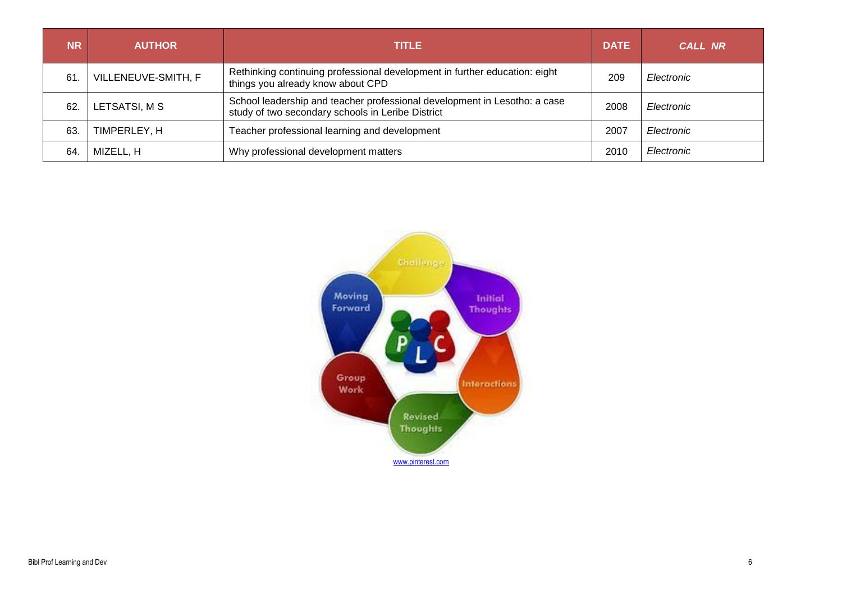| <b>NR</b> | <b>AUTHOR</b>       | <b>TITLE</b>                                                                                                                   |      | <b>CALL NR</b> |
|-----------|---------------------|--------------------------------------------------------------------------------------------------------------------------------|------|----------------|
| 61.       | VILLENEUVE-SMITH, F | Rethinking continuing professional development in further education: eight<br>things you already know about CPD                | 209  | Electronic     |
| 62.       | LETSATSI, M S       | School leadership and teacher professional development in Lesotho: a case<br>study of two secondary schools in Leribe District |      | Electronic     |
| 63.       | TIMPERLEY, H        | Teacher professional learning and development                                                                                  | 2007 | Electronic     |
| 64.       | MIZELL, H           | Why professional development matters                                                                                           | 2010 | Electronic     |

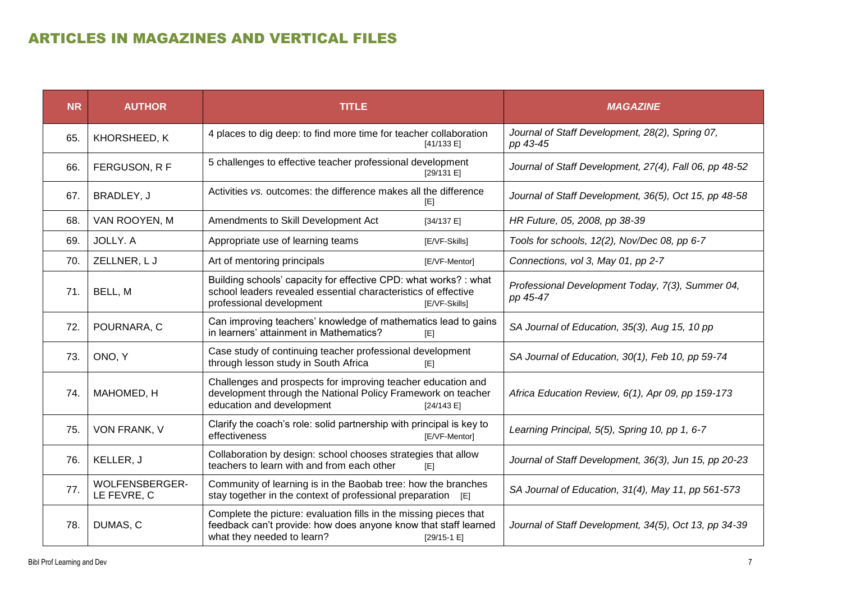# ARTICLES IN MAGAZINES AND VERTICAL FILES

| <b>NR</b> | <b>AUTHOR</b>                        | <b>TITLE</b>                                                                                                                                                                      | <b>MAGAZINE</b>                                              |
|-----------|--------------------------------------|-----------------------------------------------------------------------------------------------------------------------------------------------------------------------------------|--------------------------------------------------------------|
| 65.       | KHORSHEED, K                         | 4 places to dig deep: to find more time for teacher collaboration<br>[41/133 E]                                                                                                   | Journal of Staff Development, 28(2), Spring 07,<br>pp 43-45  |
| 66.       | FERGUSON, R F                        | 5 challenges to effective teacher professional development<br>[29/131 E]                                                                                                          | Journal of Staff Development, 27(4), Fall 06, pp 48-52       |
| 67.       | BRADLEY, J                           | Activities vs. outcomes: the difference makes all the difference<br>[E]                                                                                                           | Journal of Staff Development, 36(5), Oct 15, pp 48-58        |
| 68.       | VAN ROOYEN, M                        | Amendments to Skill Development Act<br>[34/137 E]                                                                                                                                 | HR Future, 05, 2008, pp 38-39                                |
| 69.       | JOLLY. A                             | Appropriate use of learning teams<br>[E/VF-Skills]                                                                                                                                | Tools for schools, 12(2), Nov/Dec 08, pp 6-7                 |
| 70.       | ZELLNER, LJ                          | Art of mentoring principals<br>[E/VF-Mentor]                                                                                                                                      | Connections, vol 3, May 01, pp 2-7                           |
| 71.       | BELL, M                              | Building schools' capacity for effective CPD: what works? : what<br>school leaders revealed essential characteristics of effective<br>professional development<br>[E/VF-Skills]   | Professional Development Today, 7(3), Summer 04,<br>pp 45-47 |
| 72.       | POURNARA, C                          | Can improving teachers' knowledge of mathematics lead to gains<br>in learners' attainment in Mathematics?<br>[E]                                                                  | SA Journal of Education, 35(3), Aug 15, 10 pp                |
| 73.       | ONO, Y                               | Case study of continuing teacher professional development<br>through lesson study in South Africa<br>[E]                                                                          | SA Journal of Education, 30(1), Feb 10, pp 59-74             |
| 74.       | MAHOMED, H                           | Challenges and prospects for improving teacher education and<br>development through the National Policy Framework on teacher<br>education and development<br>[24/143 E]           | Africa Education Review, 6(1), Apr 09, pp 159-173            |
| 75.       | VON FRANK, V                         | Clarify the coach's role: solid partnership with principal is key to<br>effectiveness<br>[E/VF-Mentor]                                                                            | Learning Principal, 5(5), Spring 10, pp 1, 6-7               |
| 76.       | KELLER, J                            | Collaboration by design: school chooses strategies that allow<br>teachers to learn with and from each other<br>[E]                                                                | Journal of Staff Development, 36(3), Jun 15, pp 20-23        |
| 77.       | <b>WOLFENSBERGER-</b><br>LE FEVRE, C | Community of learning is in the Baobab tree: how the branches<br>stay together in the context of professional preparation [E]                                                     | SA Journal of Education, 31(4), May 11, pp 561-573           |
| 78.       | DUMAS, C                             | Complete the picture: evaluation fills in the missing pieces that<br>feedback can't provide: how does anyone know that staff learned<br>what they needed to learn?<br>$[29/15-1]$ | Journal of Staff Development, 34(5), Oct 13, pp 34-39        |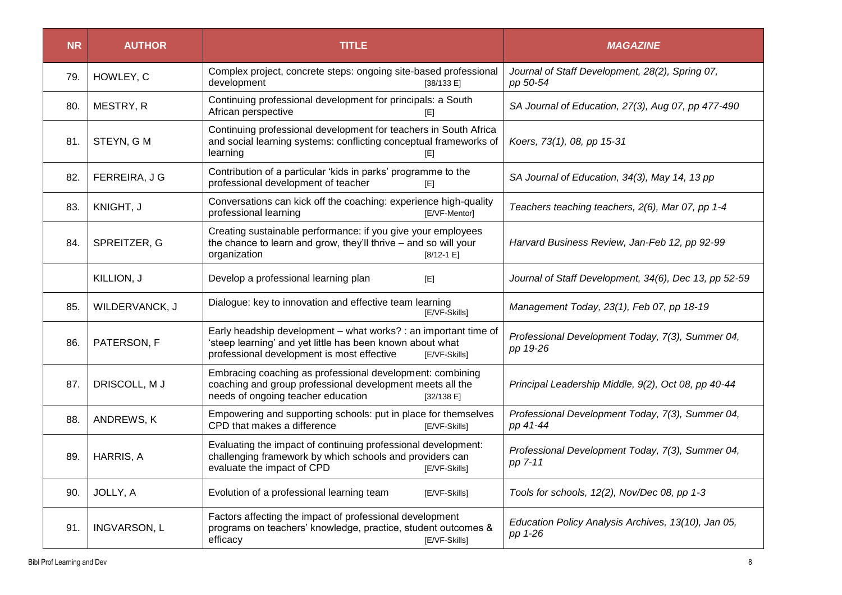| <b>NR</b> | <b>AUTHOR</b>       | <b>TITLE</b>                                                                                                                                                                                | <b>MAGAZINE</b>                                                |
|-----------|---------------------|---------------------------------------------------------------------------------------------------------------------------------------------------------------------------------------------|----------------------------------------------------------------|
| 79.       | HOWLEY, C           | Complex project, concrete steps: ongoing site-based professional<br>development<br>[38/133 E]                                                                                               | Journal of Staff Development, 28(2), Spring 07,<br>pp 50-54    |
| 80.       | MESTRY, R           | Continuing professional development for principals: a South<br>African perspective<br>[E]                                                                                                   | SA Journal of Education, 27(3), Aug 07, pp 477-490             |
| 81.       | STEYN, GM           | Continuing professional development for teachers in South Africa<br>and social learning systems: conflicting conceptual frameworks of<br>learning<br>[E]                                    | Koers, 73(1), 08, pp 15-31                                     |
| 82.       | FERREIRA, J G       | Contribution of a particular 'kids in parks' programme to the<br>professional development of teacher<br>[E]                                                                                 | SA Journal of Education, 34(3), May 14, 13 pp                  |
| 83.       | KNIGHT, J           | Conversations can kick off the coaching: experience high-quality<br>professional learning<br>[E/VF-Mentor]                                                                                  | Teachers teaching teachers, 2(6), Mar 07, pp 1-4               |
| 84.       | SPREITZER, G        | Creating sustainable performance: if you give your employees<br>the chance to learn and grow, they'll thrive - and so will your<br>organization<br>$[8/12 - 1]$                             | Harvard Business Review, Jan-Feb 12, pp 92-99                  |
|           | KILLION, J          | Develop a professional learning plan<br>[E]                                                                                                                                                 | Journal of Staff Development, 34(6), Dec 13, pp 52-59          |
| 85.       | WILDERVANCK, J      | Dialogue: key to innovation and effective team learning<br>[E/VF-Skills]                                                                                                                    | Management Today, 23(1), Feb 07, pp 18-19                      |
| 86.       | PATERSON, F         | Early headship development - what works? : an important time of<br>'steep learning' and yet little has been known about what<br>professional development is most effective<br>[E/VF-Skills] | Professional Development Today, 7(3), Summer 04,<br>pp 19-26   |
| 87.       | DRISCOLL, MJ        | Embracing coaching as professional development: combining<br>coaching and group professional development meets all the<br>needs of ongoing teacher education<br>[32/138 E]                  | Principal Leadership Middle, 9(2), Oct 08, pp 40-44            |
| 88.       | ANDREWS, K          | Empowering and supporting schools: put in place for themselves<br>CPD that makes a difference<br>[E/VF-Skills]                                                                              | Professional Development Today, 7(3), Summer 04,<br>pp 41-44   |
| 89.       | HARRIS, A           | Evaluating the impact of continuing professional development:<br>challenging framework by which schools and providers can<br>evaluate the impact of CPD<br>[E/VF-Skills]                    | Professional Development Today, 7(3), Summer 04,<br>pp 7-11    |
| 90.       | JOLLY, A            | Evolution of a professional learning team<br>[E/VF-Skills]                                                                                                                                  | Tools for schools, 12(2), Nov/Dec 08, pp 1-3                   |
| 91.       | <b>INGVARSON, L</b> | Factors affecting the impact of professional development<br>programs on teachers' knowledge, practice, student outcomes &<br>efficacy<br>[E/VF-Skills]                                      | Education Policy Analysis Archives, 13(10), Jan 05,<br>pp 1-26 |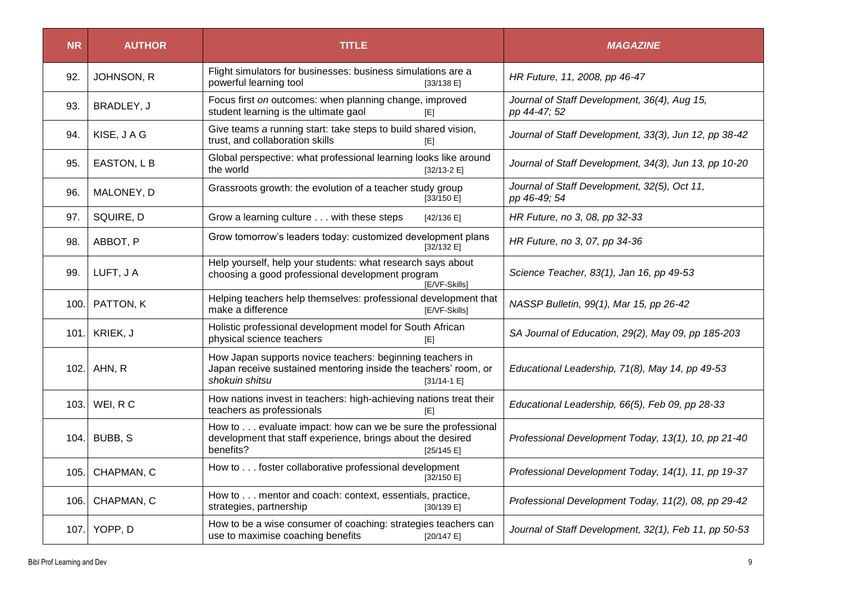| <b>NR</b> | <b>AUTHOR</b> | <b>TITLE</b>                                                                                                                                                  | <b>MAGAZINE</b>                                              |
|-----------|---------------|---------------------------------------------------------------------------------------------------------------------------------------------------------------|--------------------------------------------------------------|
| 92.       | JOHNSON, R    | Flight simulators for businesses: business simulations are a<br>powerful learning tool<br>[33/138 E]                                                          | HR Future, 11, 2008, pp 46-47                                |
| 93.       | BRADLEY, J    | Focus first on outcomes: when planning change, improved<br>student learning is the ultimate gaol<br>[E]                                                       | Journal of Staff Development, 36(4), Aug 15,<br>pp 44-47; 52 |
| 94.       | KISE, JAG     | Give teams a running start: take steps to build shared vision,<br>trust, and collaboration skills<br>[E]                                                      | Journal of Staff Development, 33(3), Jun 12, pp 38-42        |
| 95.       | EASTON, L B   | Global perspective: what professional learning looks like around<br>the world<br>$[32/13-2 E]$                                                                | Journal of Staff Development, 34(3), Jun 13, pp 10-20        |
| 96.       | MALONEY, D    | Grassroots growth: the evolution of a teacher study group<br>[33/150 E]                                                                                       | Journal of Staff Development, 32(5), Oct 11,<br>pp 46-49; 54 |
| 97.       | SQUIRE, D     | Grow a learning culture with these steps<br>[42/136 E]                                                                                                        | HR Future, no 3, 08, pp 32-33                                |
| 98.       | ABBOT, P      | Grow tomorrow's leaders today: customized development plans<br>[32/132 E]                                                                                     | HR Future, no 3, 07, pp 34-36                                |
| 99.       | LUFT, JA      | Help yourself, help your students: what research says about<br>choosing a good professional development program<br>[E/VF-Skills]                              | Science Teacher, 83(1), Jan 16, pp 49-53                     |
| 100.1     | PATTON, K     | Helping teachers help themselves: professional development that<br>make a difference<br>[E/VF-Skills]                                                         | NASSP Bulletin, 99(1), Mar 15, pp 26-42                      |
|           | 101. KRIEK, J | Holistic professional development model for South African<br>physical science teachers<br>[E]                                                                 | SA Journal of Education, 29(2), May 09, pp 185-203           |
| 102.1     | AHN, R        | How Japan supports novice teachers: beginning teachers in<br>Japan receive sustained mentoring inside the teachers' room, or<br>shokuin shitsu<br>$[31/14-1]$ | Educational Leadership, 71(8), May 14, pp 49-53              |
|           | 103. WEI, R C | How nations invest in teachers: high-achieving nations treat their<br>teachers as professionals<br>[E]                                                        | Educational Leadership, 66(5), Feb 09, pp 28-33              |
| 104.      | BUBB, S       | How to evaluate impact: how can we be sure the professional<br>development that staff experience, brings about the desired<br>benefits?<br>[25/145 E]         | Professional Development Today, 13(1), 10, pp 21-40          |
| 105.      | CHAPMAN, C    | How to foster collaborative professional development<br>[32/150 E]                                                                                            | Professional Development Today, 14(1), 11, pp 19-37          |
| 106.      | CHAPMAN, C    | How to mentor and coach: context, essentials, practice,<br>strategies, partnership<br>[30/139 E]                                                              | Professional Development Today, 11(2), 08, pp 29-42          |
|           | 107. YOPP, D  | How to be a wise consumer of coaching: strategies teachers can<br>use to maximise coaching benefits<br>[20/147 E]                                             | Journal of Staff Development, 32(1), Feb 11, pp 50-53        |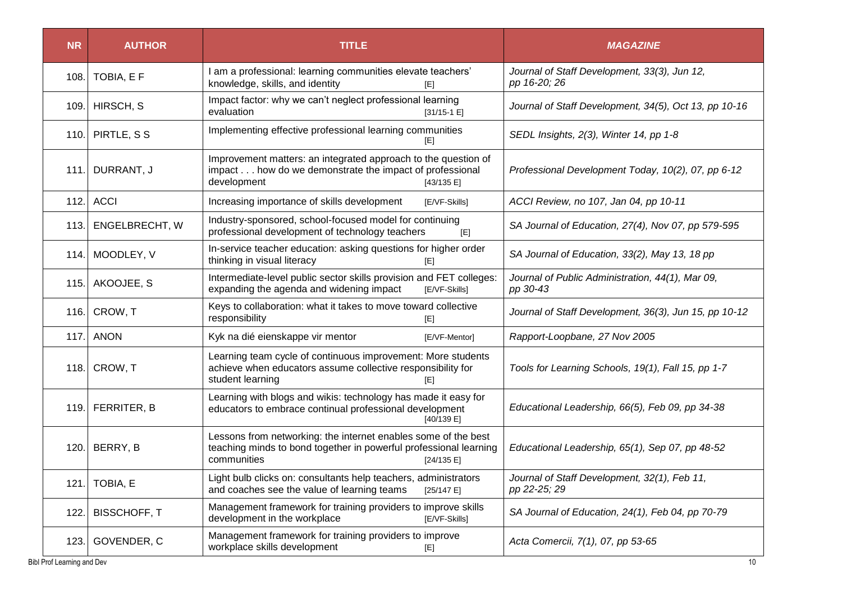| <b>NR</b> | <b>AUTHOR</b>       | <b>TITLE</b>                                                                                                                                                     | <b>MAGAZINE</b>                                              |
|-----------|---------------------|------------------------------------------------------------------------------------------------------------------------------------------------------------------|--------------------------------------------------------------|
| 108.      | TOBIA, E F          | I am a professional: learning communities elevate teachers'<br>knowledge, skills, and identity<br>ŒI                                                             | Journal of Staff Development, 33(3), Jun 12,<br>pp 16-20; 26 |
|           | 109. HIRSCH, S      | Impact factor: why we can't neglect professional learning<br>evaluation<br>$[31/15-1]$                                                                           | Journal of Staff Development, 34(5), Oct 13, pp 10-16        |
| 110.      | PIRTLE, S S         | Implementing effective professional learning communities                                                                                                         | SEDL Insights, 2(3), Winter 14, pp 1-8                       |
| 111.1     | DURRANT, J          | Improvement matters: an integrated approach to the question of<br>impact how do we demonstrate the impact of professional<br>development<br>[43/135 E]           | Professional Development Today, 10(2), 07, pp 6-12           |
| 112.      | <b>ACCI</b>         | Increasing importance of skills development<br>[E/VF-Skills]                                                                                                     | ACCI Review, no 107, Jan 04, pp 10-11                        |
| 113.      | ENGELBRECHT, W      | Industry-sponsored, school-focused model for continuing<br>professional development of technology teachers<br>[E]                                                | SA Journal of Education, 27(4), Nov 07, pp 579-595           |
| 114.      | MOODLEY, V          | In-service teacher education: asking questions for higher order<br>thinking in visual literacy<br>[E]                                                            | SA Journal of Education, 33(2), May 13, 18 pp                |
| 115.      | AKOOJEE, S          | Intermediate-level public sector skills provision and FET colleges:<br>expanding the agenda and widening impact<br>[E/VF-Skills]                                 | Journal of Public Administration, 44(1), Mar 09,<br>pp 30-43 |
| 116.      | CROW, T             | Keys to collaboration: what it takes to move toward collective<br>responsibility<br>[E]                                                                          | Journal of Staff Development, 36(3), Jun 15, pp 10-12        |
| 117.      | <b>ANON</b>         | Kyk na dié eienskappe vir mentor<br>[E/VF-Mentor]                                                                                                                | Rapport-Loopbane, 27 Nov 2005                                |
| 118.      | CROW, T             | Learning team cycle of continuous improvement: More students<br>achieve when educators assume collective responsibility for<br>student learning<br>[E]           | Tools for Learning Schools, 19(1), Fall 15, pp 1-7           |
|           | 119. FERRITER, B    | Learning with blogs and wikis: technology has made it easy for<br>educators to embrace continual professional development<br>[40/139 E]                          | Educational Leadership, 66(5), Feb 09, pp 34-38              |
| 120.      | BERRY, B            | Lessons from networking: the internet enables some of the best<br>teaching minds to bond together in powerful professional learning<br>communities<br>[24/135 E] | Educational Leadership, 65(1), Sep 07, pp 48-52              |
|           | 121. TOBIA, E       | Light bulb clicks on: consultants help teachers, administrators<br>and coaches see the value of learning teams<br>[25/147 E]                                     | Journal of Staff Development, 32(1), Feb 11,<br>pp 22-25; 29 |
| 122.      | <b>BISSCHOFF, T</b> | Management framework for training providers to improve skills<br>development in the workplace<br>[E/VF-Skills]                                                   | SA Journal of Education, 24(1), Feb 04, pp 70-79             |
| 123.      | GOVENDER, C         | Management framework for training providers to improve<br>workplace skills development<br>[E]                                                                    | Acta Comercii, 7(1), 07, pp 53-65                            |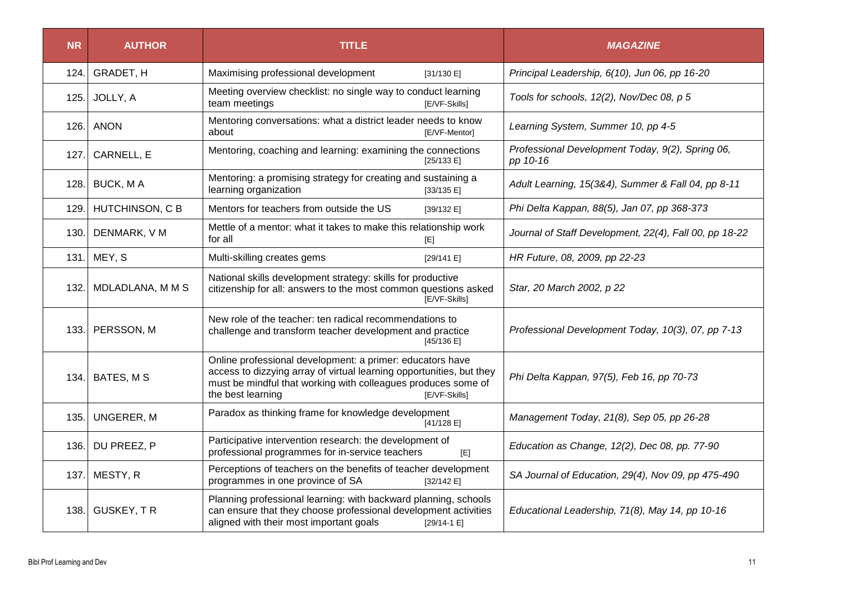| <b>NR</b> | <b>AUTHOR</b>          | <b>TITLE</b>                                                                                                                                                                                                                             | <b>MAGAZINE</b>                                              |
|-----------|------------------------|------------------------------------------------------------------------------------------------------------------------------------------------------------------------------------------------------------------------------------------|--------------------------------------------------------------|
| 124.      | GRADET, H              | Maximising professional development<br>[31/130 E]                                                                                                                                                                                        | Principal Leadership, 6(10), Jun 06, pp 16-20                |
| 125.      | JOLLY, A               | Meeting overview checklist: no single way to conduct learning<br>team meetings<br>[E/VF-Skills]                                                                                                                                          | Tools for schools, 12(2), Nov/Dec 08, p 5                    |
| 126.      | <b>ANON</b>            | Mentoring conversations: what a district leader needs to know<br>about<br>[E/VF-Mentor]                                                                                                                                                  | Learning System, Summer 10, pp 4-5                           |
| 127.      | CARNELL, E             | Mentoring, coaching and learning: examining the connections<br>[25/133 E]                                                                                                                                                                | Professional Development Today, 9(2), Spring 06,<br>pp 10-16 |
| 128.I     | <b>BUCK, MA</b>        | Mentoring: a promising strategy for creating and sustaining a<br>learning organization<br>[33/135 E]                                                                                                                                     | Adult Learning, 15(3&4), Summer & Fall 04, pp 8-11           |
| 129.      | <b>HUTCHINSON, C B</b> | Mentors for teachers from outside the US<br>[39/132 E]                                                                                                                                                                                   | Phi Delta Kappan, 88(5), Jan 07, pp 368-373                  |
| 130.      | DENMARK, V M           | Mettle of a mentor: what it takes to make this relationship work<br>for all<br>[E]                                                                                                                                                       | Journal of Staff Development, 22(4), Fall 00, pp 18-22       |
| 131.      | MEY, S                 | Multi-skilling creates gems<br>[29/141 E]                                                                                                                                                                                                | HR Future, 08, 2009, pp 22-23                                |
| 132.1     | MDLADLANA, M M S       | National skills development strategy: skills for productive<br>citizenship for all: answers to the most common questions asked<br>[E/VF-Skills]                                                                                          | Star, 20 March 2002, p 22                                    |
| 133.      | PERSSON, M             | New role of the teacher: ten radical recommendations to<br>challenge and transform teacher development and practice<br>[45/136 E]                                                                                                        | Professional Development Today, 10(3), 07, pp 7-13           |
| 134.      | BATES, M S             | Online professional development: a primer: educators have<br>access to dizzying array of virtual learning opportunities, but they<br>must be mindful that working with colleagues produces some of<br>the best learning<br>[E/VF-Skills] | Phi Delta Kappan, 97(5), Feb 16, pp 70-73                    |
| 135.      | <b>UNGERER, M</b>      | Paradox as thinking frame for knowledge development<br>[41/128 E]                                                                                                                                                                        | Management Today, 21(8), Sep 05, pp 26-28                    |
| 136.1     | DU PREEZ, P            | Participative intervention research: the development of<br>professional programmes for in-service teachers<br>[E]                                                                                                                        | Education as Change, 12(2), Dec 08, pp. 77-90                |
| 137.1     | MESTY, R               | Perceptions of teachers on the benefits of teacher development<br>programmes in one province of SA<br>[32/142 E]                                                                                                                         | SA Journal of Education, 29(4), Nov 09, pp 475-490           |
| 138.      | <b>GUSKEY, TR</b>      | Planning professional learning: with backward planning, schools<br>can ensure that they choose professional development activities<br>aligned with their most important goals<br>$[29/14-1]$                                             | Educational Leadership, 71(8), May 14, pp 10-16              |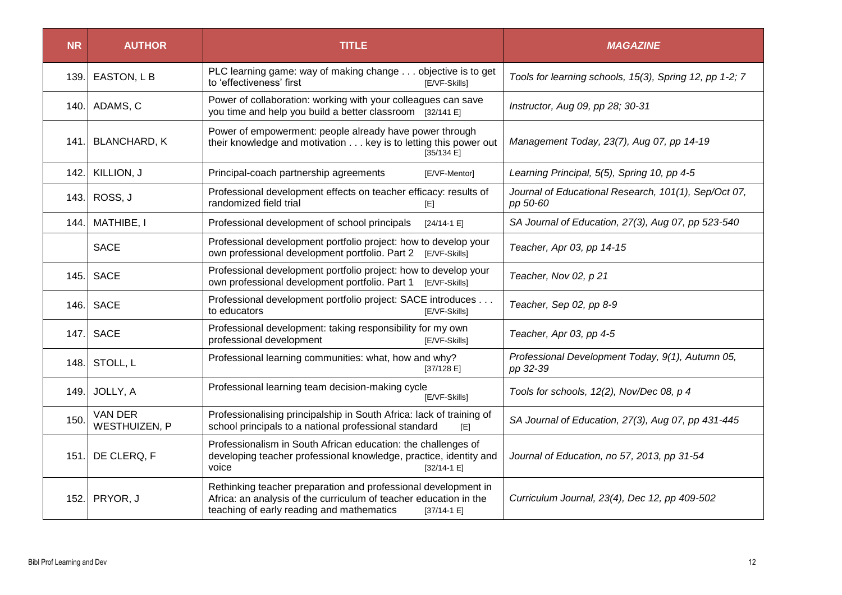| <b>NR</b> | <b>AUTHOR</b>                   | <b>TITLE</b>                                                                                                                                                                                    | <b>MAGAZINE</b>                                                  |
|-----------|---------------------------------|-------------------------------------------------------------------------------------------------------------------------------------------------------------------------------------------------|------------------------------------------------------------------|
| 139.      | EASTON, L B                     | PLC learning game: way of making change objective is to get<br>to 'effectiveness' first<br>[E/VF-Skills]                                                                                        | Tools for learning schools, 15(3), Spring 12, pp 1-2; 7          |
| 140.1     | ADAMS, C                        | Power of collaboration: working with your colleagues can save<br>you time and help you build a better classroom [32/141 E]                                                                      | Instructor, Aug 09, pp 28; 30-31                                 |
| 141.      | <b>BLANCHARD, K</b>             | Power of empowerment: people already have power through<br>their knowledge and motivation key is to letting this power out<br>[35/134 E]                                                        | Management Today, 23(7), Aug 07, pp 14-19                        |
| 142.      | KILLION, J                      | Principal-coach partnership agreements<br>[E/VF-Mentor]                                                                                                                                         | Learning Principal, 5(5), Spring 10, pp 4-5                      |
| 143.      | ROSS, J                         | Professional development effects on teacher efficacy: results of<br>randomized field trial<br>[E]                                                                                               | Journal of Educational Research, 101(1), Sep/Oct 07,<br>pp 50-60 |
| 144.      | MATHIBE, I                      | Professional development of school principals<br>$[24/14-1]$                                                                                                                                    | SA Journal of Education, 27(3), Aug 07, pp 523-540               |
|           | <b>SACE</b>                     | Professional development portfolio project: how to develop your<br>own professional development portfolio. Part 2 [E/VF-Skills]                                                                 | Teacher, Apr 03, pp 14-15                                        |
| 145.      | <b>SACE</b>                     | Professional development portfolio project: how to develop your<br>own professional development portfolio. Part 1 [E/VF-Skills]                                                                 | Teacher, Nov 02, p 21                                            |
| 146.      | <b>SACE</b>                     | Professional development portfolio project: SACE introduces<br>to educators<br>[E/VF-Skills]                                                                                                    | Teacher, Sep 02, pp 8-9                                          |
| 147.      | <b>SACE</b>                     | Professional development: taking responsibility for my own<br>professional development<br>[E/VF-Skills]                                                                                         | Teacher, Apr 03, pp 4-5                                          |
| 148.      | STOLL, L                        | Professional learning communities: what, how and why?<br>[37/128 E]                                                                                                                             | Professional Development Today, 9(1), Autumn 05,<br>pp 32-39     |
| 149.      | JOLLY, A                        | Professional learning team decision-making cycle<br>[E/VF-Skills]                                                                                                                               | Tools for schools, 12(2), Nov/Dec 08, p 4                        |
| 150.      | <b>VAN DER</b><br>WESTHUIZEN, P | Professionalising principalship in South Africa: lack of training of<br>school principals to a national professional standard<br>[E]                                                            | SA Journal of Education, 27(3), Aug 07, pp 431-445               |
| 151.1     | DE CLERQ, F                     | Professionalism in South African education: the challenges of<br>developing teacher professional knowledge, practice, identity and<br>voice<br>$[32/14-1]$                                      | Journal of Education, no 57, 2013, pp 31-54                      |
| 152.      | PRYOR, J                        | Rethinking teacher preparation and professional development in<br>Africa: an analysis of the curriculum of teacher education in the<br>teaching of early reading and mathematics<br>$[37/14-1]$ | Curriculum Journal, 23(4), Dec 12, pp 409-502                    |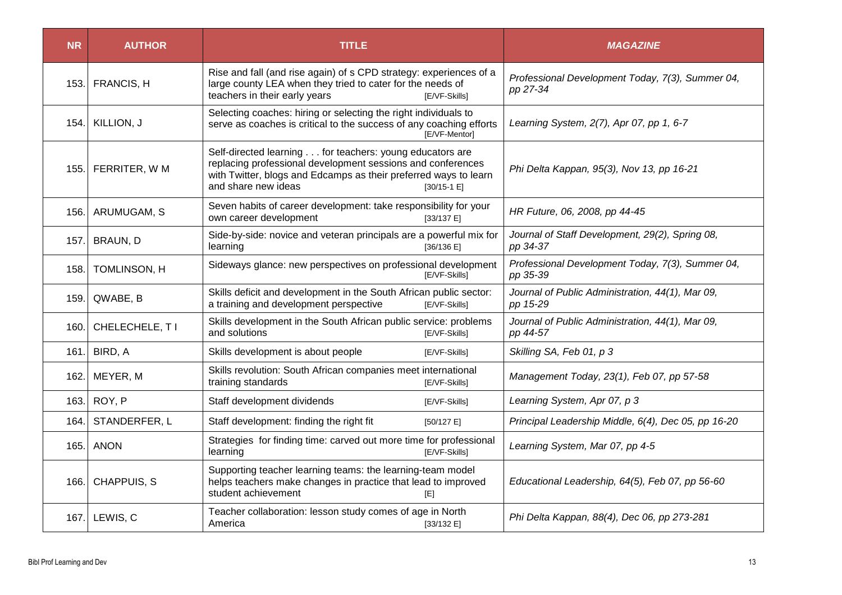| <b>NR</b> | <b>AUTHOR</b>     | <b>TITLE</b>                                                                                                                                                                                                       |                      | <i><b>MAGAZINE</b></i>                                       |
|-----------|-------------------|--------------------------------------------------------------------------------------------------------------------------------------------------------------------------------------------------------------------|----------------------|--------------------------------------------------------------|
| 153.1     | <b>FRANCIS, H</b> | Rise and fall (and rise again) of s CPD strategy: experiences of a<br>large county LEA when they tried to cater for the needs of<br>teachers in their early years                                                  | [E/VF-Skills]        | Professional Development Today, 7(3), Summer 04,<br>pp 27-34 |
| 154.      | KILLION, J        | Selecting coaches: hiring or selecting the right individuals to<br>serve as coaches is critical to the success of any coaching efforts                                                                             | [E/VF-Mentor]        | Learning System, 2(7), Apr 07, pp 1, 6-7                     |
| 155.      | FERRITER, W M     | Self-directed learning for teachers: young educators are<br>replacing professional development sessions and conferences<br>with Twitter, blogs and Edcamps as their preferred ways to learn<br>and share new ideas | $[30/15-1]$          | Phi Delta Kappan, 95(3), Nov 13, pp 16-21                    |
| 156.      | ARUMUGAM, S       | Seven habits of career development: take responsibility for your<br>own career development                                                                                                                         | [33/137 E]           | HR Future, 06, 2008, pp 44-45                                |
| 157.1     | BRAUN, D          | Side-by-side: novice and veteran principals are a powerful mix for<br>learning                                                                                                                                     | [36/136 E]           | Journal of Staff Development, 29(2), Spring 08,<br>pp 34-37  |
| 158.      | TOMLINSON, H      | Sideways glance: new perspectives on professional development                                                                                                                                                      | <b>IE/VF-Skills1</b> | Professional Development Today, 7(3), Summer 04,<br>pp 35-39 |
| 159.1     | QWABE, B          | Skills deficit and development in the South African public sector:<br>a training and development perspective                                                                                                       | [E/VF-Skills]        | Journal of Public Administration, 44(1), Mar 09,<br>pp 15-29 |
| 160.1     | CHELECHELE, T I   | Skills development in the South African public service: problems<br>and solutions                                                                                                                                  | [E/VF-Skills]        | Journal of Public Administration, 44(1), Mar 09,<br>pp 44-57 |
| 161.1     | BIRD, A           | Skills development is about people                                                                                                                                                                                 | [E/VF-Skills]        | Skilling SA, Feb 01, p 3                                     |
| 162.      | MEYER, M          | Skills revolution: South African companies meet international<br>training standards                                                                                                                                | [E/VF-Skills]        | Management Today, 23(1), Feb 07, pp 57-58                    |
| 163.      | ROY, P            | Staff development dividends                                                                                                                                                                                        | [E/VF-Skills]        | Learning System, Apr 07, p 3                                 |
| 164.      | STANDERFER, L     | Staff development: finding the right fit                                                                                                                                                                           | [50/127 E]           | Principal Leadership Middle, 6(4), Dec 05, pp 16-20          |
| 165.      | <b>ANON</b>       | Strategies for finding time: carved out more time for professional<br>learning                                                                                                                                     | [E/VF-Skills]        | Learning System, Mar 07, pp 4-5                              |
| 166.      | CHAPPUIS, S       | Supporting teacher learning teams: the learning-team model<br>helps teachers make changes in practice that lead to improved<br>student achievement                                                                 | [E]                  | Educational Leadership, 64(5), Feb 07, pp 56-60              |
| 167.      | LEWIS, C          | Teacher collaboration: lesson study comes of age in North<br>America                                                                                                                                               | [33/132 E]           | Phi Delta Kappan, 88(4), Dec 06, pp 273-281                  |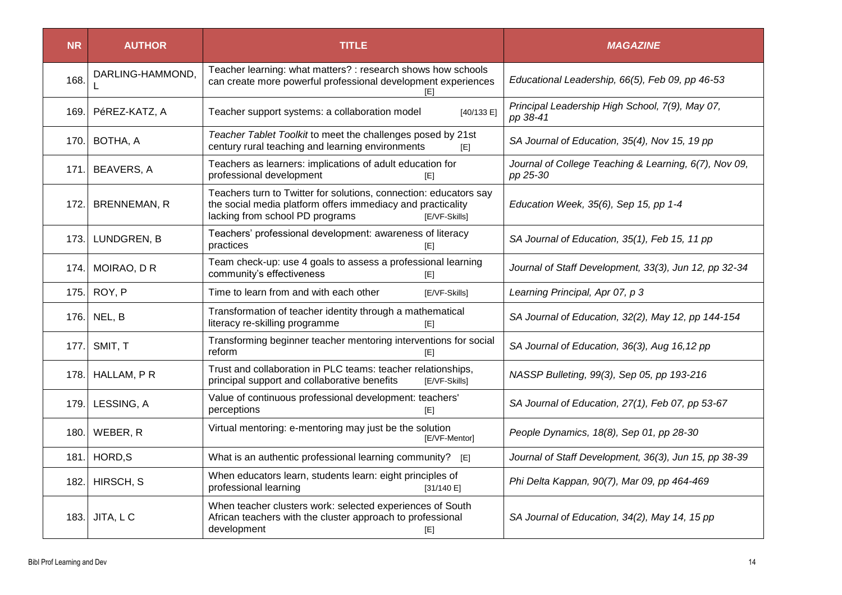| <b>NR</b> | <b>AUTHOR</b>       | <b>TITLE</b>                                                                                                                                                                         | <b>MAGAZINE</b>                                                   |
|-----------|---------------------|--------------------------------------------------------------------------------------------------------------------------------------------------------------------------------------|-------------------------------------------------------------------|
| 168.      | DARLING-HAMMOND,    | Teacher learning: what matters? : research shows how schools<br>can create more powerful professional development experiences<br>IEI                                                 | Educational Leadership, 66(5), Feb 09, pp 46-53                   |
| 169.1     | PéREZ-KATZ, A       | Teacher support systems: a collaboration model<br>[40/133 E]                                                                                                                         | Principal Leadership High School, 7(9), May 07,<br>pp 38-41       |
| 170.      | BOTHA, A            | Teacher Tablet Toolkit to meet the challenges posed by 21st<br>century rural teaching and learning environments<br>[E]                                                               | SA Journal of Education, 35(4), Nov 15, 19 pp                     |
| 171.      | <b>BEAVERS, A</b>   | Teachers as learners: implications of adult education for<br>professional development<br>[E]                                                                                         | Journal of College Teaching & Learning, 6(7), Nov 09,<br>pp 25-30 |
| 172.      | <b>BRENNEMAN, R</b> | Teachers turn to Twitter for solutions, connection: educators say<br>the social media platform offers immediacy and practicality<br>lacking from school PD programs<br>[E/VF-Skills] | Education Week, 35(6), Sep 15, pp 1-4                             |
| 173.1     | LUNDGREN, B         | Teachers' professional development: awareness of literacy<br>practices<br>[E]                                                                                                        | SA Journal of Education, 35(1), Feb 15, 11 pp                     |
| 174.      | MOIRAO, D R         | Team check-up: use 4 goals to assess a professional learning<br>community's effectiveness<br>[E]                                                                                     | Journal of Staff Development, 33(3), Jun 12, pp 32-34             |
| 175.      | ROY, P              | Time to learn from and with each other<br>[E/VF-Skills]                                                                                                                              | Learning Principal, Apr 07, p 3                                   |
| 176.I     | NEL, B              | Transformation of teacher identity through a mathematical<br>literacy re-skilling programme<br>[E]                                                                                   | SA Journal of Education, 32(2), May 12, pp 144-154                |
| 177.      | SMIT, T             | Transforming beginner teacher mentoring interventions for social<br>reform<br>[E]                                                                                                    | SA Journal of Education, 36(3), Aug 16,12 pp                      |
| 178. l    | HALLAM, PR          | Trust and collaboration in PLC teams: teacher relationships,<br>principal support and collaborative benefits<br>[E/VF-Skills]                                                        | NASSP Bulleting, 99(3), Sep 05, pp 193-216                        |
| 179.1     | LESSING, A          | Value of continuous professional development: teachers'<br>perceptions<br>[E]                                                                                                        | SA Journal of Education, 27(1), Feb 07, pp 53-67                  |
| 180.      | WEBER, R            | Virtual mentoring: e-mentoring may just be the solution<br>[E/VF-Mentor]                                                                                                             | People Dynamics, 18(8), Sep 01, pp 28-30                          |
| 181.      | HORD, S             | What is an authentic professional learning community? [E]                                                                                                                            | Journal of Staff Development, 36(3), Jun 15, pp 38-39             |
| 182. l    | HIRSCH, S           | When educators learn, students learn: eight principles of<br>professional learning<br>[31/140 E]                                                                                     | Phi Delta Kappan, 90(7), Mar 09, pp 464-469                       |
| 183.      | JITA, LC            | When teacher clusters work: selected experiences of South<br>African teachers with the cluster approach to professional<br>development<br>[E]                                        | SA Journal of Education, 34(2), May 14, 15 pp                     |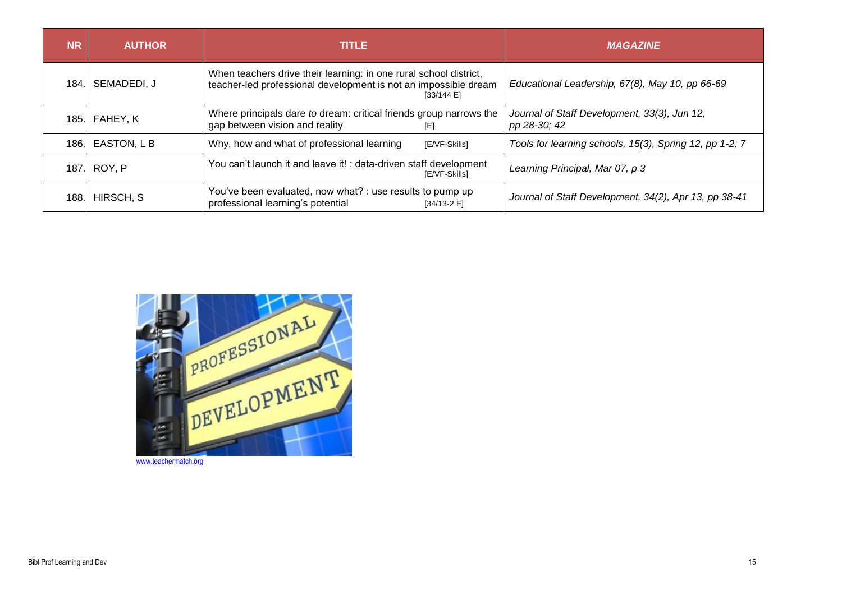| <b>NR</b> | <b>AUTHOR</b> | <b>TITLE</b>                                                                                                                                       | <b>MAGAZINE</b>                                              |
|-----------|---------------|----------------------------------------------------------------------------------------------------------------------------------------------------|--------------------------------------------------------------|
| 184.      | SEMADEDI, J   | When teachers drive their learning: in one rural school district,<br>teacher-led professional development is not an impossible dream<br>[33/144 E] | Educational Leadership, 67(8), May 10, pp 66-69              |
| 185.      | FAHEY, K      | Where principals dare to dream: critical friends group narrows the<br>gap between vision and reality<br>[E]                                        | Journal of Staff Development, 33(3), Jun 12,<br>pp 28-30; 42 |
| 186.      | EASTON, L B   | Why, how and what of professional learning<br>[E/VF-Skills]                                                                                        | Tools for learning schools, 15(3), Spring 12, pp 1-2; 7      |
| 187.      | ROY, P        | You can't launch it and leave it! : data-driven staff development<br>[E/VF-Skills]                                                                 | Learning Principal, Mar 07, p 3                              |
| 188       | HIRSCH, S     | You've been evaluated, now what? : use results to pump up<br>professional learning's potential<br>$[34/13-2 E]$                                    | Journal of Staff Development, 34(2), Apr 13, pp 38-41        |



[www.teachermatch.org](https://www.google.com/url?sa=i&rct=j&q=&esrc=s&source=imgres&cd=&cad=rja&uact=8&ved=0ahUKEwjDyLP68I7PAhVLPhQKHbaZD3IQjB0IBg&url=https%3A%2F%2Fwww.teachermatch.org%2Fblog%2F3-reasons-why-professional-learning-matters%2F&psig=AFQjCNESqkqUZnoq8npFXetPznu2b027fg&ust=1473943337801573)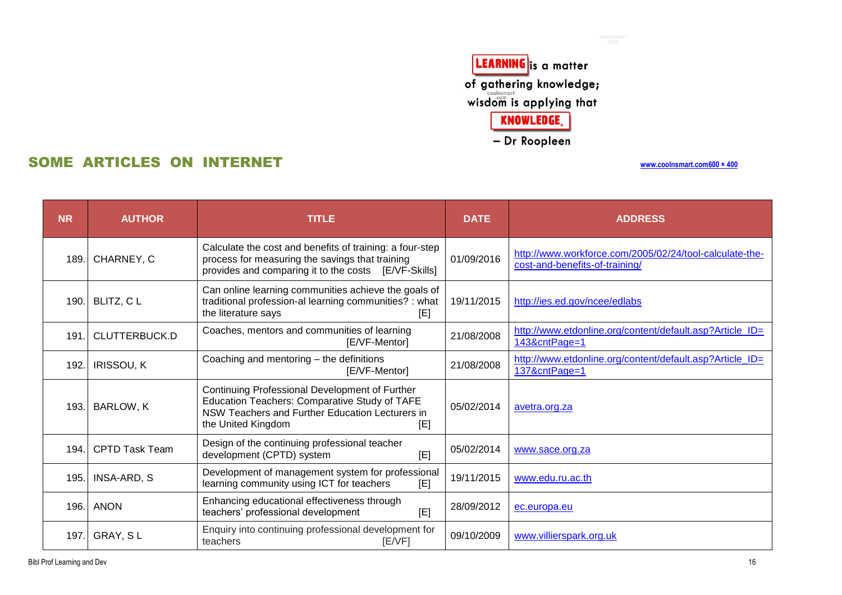LEARNING is a matter of gathering knowledge;<br>wisdom is applying that KNOWLEDGE.

- Dr Roopleen

# SOME ARTICLES ON INTERNET

| <b>NR</b> | <b>AUTHOR</b>         | <b>TITLE</b>                                                                                                                                                                    | <b>DATE</b> | <b>ADDRESS</b>                                                                            |
|-----------|-----------------------|---------------------------------------------------------------------------------------------------------------------------------------------------------------------------------|-------------|-------------------------------------------------------------------------------------------|
| 189.      | CHARNEY, C            | Calculate the cost and benefits of training: a four-step<br>process for measuring the savings that training<br>provides and comparing it to the costs [E/VF-Skills]             | 01/09/2016  | http://www.workforce.com/2005/02/24/tool-calculate-the-<br>cost-and-benefits-of-training/ |
| 190.1     | BLITZ, CL             | Can online learning communities achieve the goals of<br>traditional profession-al learning communities? : what<br>the literature says<br>[E]                                    | 19/11/2015  | http://ies.ed.gov/ncee/edlabs                                                             |
| 191       | CLUTTERBUCK.D         | Coaches, mentors and communities of learning<br>[E/VF-Mentor]                                                                                                                   | 21/08/2008  | http://www.etdonline.org/content/default.asp?Article ID=<br>143&cntPage=1                 |
| 192.      | <b>IRISSOU, K</b>     | Coaching and mentoring - the definitions<br>[E/VF-Mentor]                                                                                                                       | 21/08/2008  | http://www.etdonline.org/content/default.asp?Article_ID=<br>137&cntPage=1                 |
| 193.      | BARLOW, K             | Continuing Professional Development of Further<br>Education Teachers: Comparative Study of TAFE<br>NSW Teachers and Further Education Lecturers in<br>the United Kingdom<br>[E] | 05/02/2014  | avetra.org.za                                                                             |
| 194.      | <b>CPTD Task Team</b> | Design of the continuing professional teacher<br>development (CPTD) system<br>[E]                                                                                               | 05/02/2014  | www.sace.org.za                                                                           |
| 195.      | <b>INSA-ARD, S</b>    | Development of management system for professional<br>learning community using ICT for teachers<br>[E]                                                                           | 19/11/2015  | www.edu.ru.ac.th                                                                          |
| 196.      | <b>ANON</b>           | Enhancing educational effectiveness through<br>teachers' professional development<br>[E]                                                                                        | 28/09/2012  | ec.europa.eu                                                                              |
| 197.      | GRAY, SL              | Enquiry into continuing professional development for<br>teachers<br>E/VF                                                                                                        | 09/10/2009  | www.villierspark.org.uk                                                                   |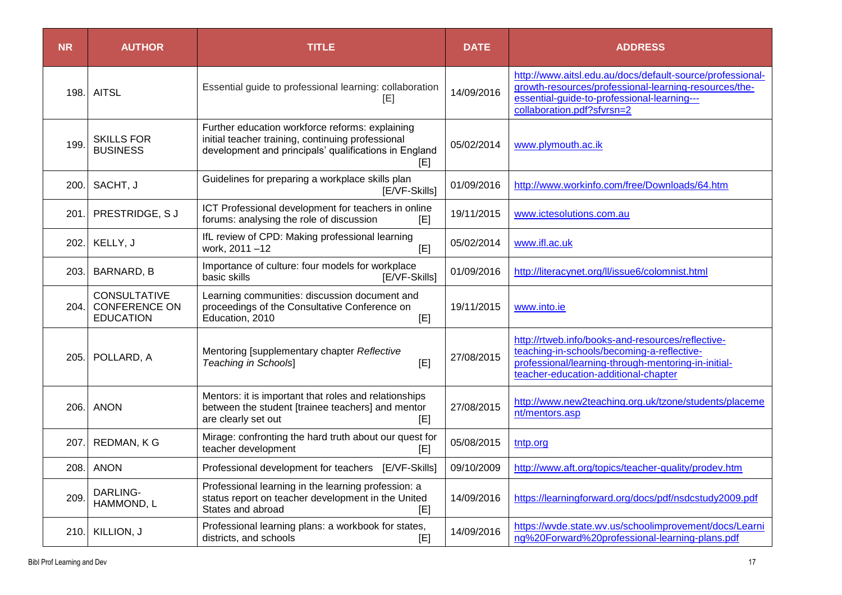| <b>NR</b> | <b>AUTHOR</b>                                                   | <b>TITLE</b>                                                                                                                                                         | <b>DATE</b> | <b>ADDRESS</b>                                                                                                                                                                                  |
|-----------|-----------------------------------------------------------------|----------------------------------------------------------------------------------------------------------------------------------------------------------------------|-------------|-------------------------------------------------------------------------------------------------------------------------------------------------------------------------------------------------|
| 198.      | <b>AITSL</b>                                                    | Essential guide to professional learning: collaboration<br>[E]                                                                                                       | 14/09/2016  | http://www.aitsl.edu.au/docs/default-source/professional-<br>growth-resources/professional-learning-resources/the-<br>essential-guide-to-professional-learning---<br>collaboration.pdf?sfvrsn=2 |
| 199       | <b>SKILLS FOR</b><br><b>BUSINESS</b>                            | Further education workforce reforms: explaining<br>initial teacher training, continuing professional<br>development and principals' qualifications in England<br>[E] | 05/02/2014  | www.plymouth.ac.ik                                                                                                                                                                              |
| 200.      | SACHT, J                                                        | Guidelines for preparing a workplace skills plan<br>[E/VF-Skills]                                                                                                    | 01/09/2016  | http://www.workinfo.com/free/Downloads/64.htm                                                                                                                                                   |
| 201       | PRESTRIDGE, SJ                                                  | ICT Professional development for teachers in online<br>forums: analysing the role of discussion<br>[E]                                                               | 19/11/2015  | www.ictesolutions.com.au                                                                                                                                                                        |
| 202.      | KELLY, J                                                        | IfL review of CPD: Making professional learning<br>work, 2011-12<br>[E]                                                                                              | 05/02/2014  | www.ifl.ac.uk                                                                                                                                                                                   |
| 203.      | BARNARD, B                                                      | Importance of culture: four models for workplace<br>basic skills<br>[E/VF-Skills]                                                                                    | 01/09/2016  | http://literacynet.org/ll/issue6/colomnist.html                                                                                                                                                 |
| 204.      | <b>CONSULTATIVE</b><br><b>CONFERENCE ON</b><br><b>EDUCATION</b> | Learning communities: discussion document and<br>proceedings of the Consultative Conference on<br>Education, 2010<br>[E]                                             | 19/11/2015  | www.into.ie                                                                                                                                                                                     |
| 205.      | POLLARD, A                                                      | Mentoring [supplementary chapter Reflective<br>[E]<br><b>Teaching in Schools]</b>                                                                                    | 27/08/2015  | http://rtweb.info/books-and-resources/reflective-<br>teaching-in-schools/becoming-a-reflective-<br>professional/learning-through-mentoring-in-initial-<br>teacher-education-additional-chapter  |
| 206.      | <b>ANON</b>                                                     | Mentors: it is important that roles and relationships<br>between the student [trainee teachers] and mentor<br>are clearly set out<br>[E]                             | 27/08/2015  | http://www.new2teaching.org.uk/tzone/students/placeme<br>nt/mentors.asp                                                                                                                         |
| 207.      | REDMAN, KG                                                      | Mirage: confronting the hard truth about our quest for<br>teacher development<br>[E]                                                                                 | 05/08/2015  | tntp.org                                                                                                                                                                                        |
| 208.      | <b>ANON</b>                                                     | Professional development for teachers [E/VF-Skills]                                                                                                                  | 09/10/2009  | http://www.aft.org/topics/teacher-quality/prodev.htm                                                                                                                                            |
| 209       | DARLING-<br>HAMMOND, L                                          | Professional learning in the learning profession: a<br>status report on teacher development in the United<br>States and abroad<br>[E]                                | 14/09/2016  | https://learningforward.org/docs/pdf/nsdcstudy2009.pdf                                                                                                                                          |
| 210.      | KILLION, J                                                      | Professional learning plans: a workbook for states,<br>districts, and schools<br>[E]                                                                                 | 14/09/2016  | https://wvde.state.wv.us/schoolimprovement/docs/Learni<br>ng%20Forward%20professional-learning-plans.pdf                                                                                        |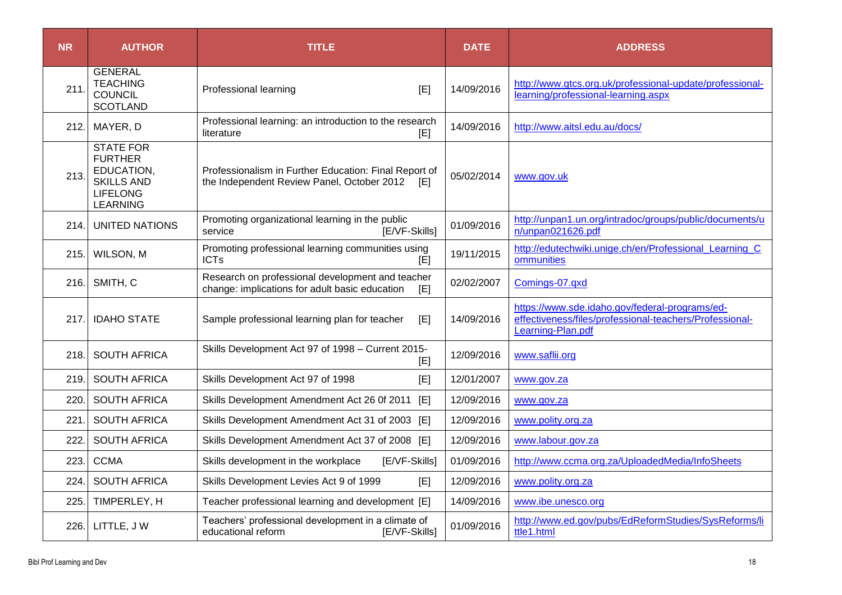| <b>NR</b> | <b>AUTHOR</b>                                                                                               | <b>TITLE</b>                                                                                              | <b>DATE</b> | <b>ADDRESS</b>                                                                                                                 |
|-----------|-------------------------------------------------------------------------------------------------------------|-----------------------------------------------------------------------------------------------------------|-------------|--------------------------------------------------------------------------------------------------------------------------------|
| 211       | <b>GENERAL</b><br><b>TEACHING</b><br><b>COUNCIL</b><br><b>SCOTLAND</b>                                      | Professional learning<br>[E]                                                                              | 14/09/2016  | http://www.gtcs.org.uk/professional-update/professional-<br>learning/professional-learning.aspx                                |
| 212.      | MAYER, D                                                                                                    | Professional learning: an introduction to the research<br>literature<br>[E]                               | 14/09/2016  | http://www.aitsl.edu.au/docs/                                                                                                  |
| 213.      | <b>STATE FOR</b><br><b>FURTHER</b><br>EDUCATION,<br><b>SKILLS AND</b><br><b>LIFELONG</b><br><b>LEARNING</b> | Professionalism in Further Education: Final Report of<br>the Independent Review Panel, October 2012 [E]   | 05/02/2014  | www.gov.uk                                                                                                                     |
| 214.      | <b>UNITED NATIONS</b>                                                                                       | Promoting organizational learning in the public<br>[E/VF-Skills]<br>service                               | 01/09/2016  | http://unpan1.un.org/intradoc/groups/public/documents/u<br>n/unpan021626.pdf                                                   |
| 215.      | WILSON, M                                                                                                   | Promoting professional learning communities using<br>ICTs<br>[E]                                          | 19/11/2015  | http://edutechwiki.unige.ch/en/Professional Learning C<br>ommunities                                                           |
| 216.      | SMITH, C                                                                                                    | Research on professional development and teacher<br>change: implications for adult basic education<br>[E] | 02/02/2007  | Comings-07.qxd                                                                                                                 |
| 217.      | <b>IDAHO STATE</b>                                                                                          | Sample professional learning plan for teacher<br>[E]                                                      | 14/09/2016  | https://www.sde.idaho.gov/federal-programs/ed-<br>effectiveness/files/professional-teachers/Professional-<br>Learning-Plan.pdf |
| 218.      | <b>SOUTH AFRICA</b>                                                                                         | Skills Development Act 97 of 1998 - Current 2015-<br>[E]                                                  | 12/09/2016  | www.saflii.org                                                                                                                 |
| 219.      | <b>SOUTH AFRICA</b>                                                                                         | Skills Development Act 97 of 1998<br>[E]                                                                  | 12/01/2007  | www.gov.za                                                                                                                     |
| 220.      | <b>SOUTH AFRICA</b>                                                                                         | Skills Development Amendment Act 26 0f 2011 [E]                                                           | 12/09/2016  | www.gov.za                                                                                                                     |
| 221       | <b>SOUTH AFRICA</b>                                                                                         | Skills Development Amendment Act 31 of 2003 [E]                                                           | 12/09/2016  | www.polity.org.za                                                                                                              |
| 222.      | <b>SOUTH AFRICA</b>                                                                                         | Skills Development Amendment Act 37 of 2008 [E]                                                           | 12/09/2016  | www.labour.gov.za                                                                                                              |
| 223.      | <b>CCMA</b>                                                                                                 | Skills development in the workplace<br>[E/VF-Skills]                                                      | 01/09/2016  | http://www.ccma.org.za/UploadedMedia/InfoSheets                                                                                |
| 224.      | <b>SOUTH AFRICA</b>                                                                                         | Skills Development Levies Act 9 of 1999<br>[E]                                                            | 12/09/2016  | www.polity.org.za                                                                                                              |
| 225.      | TIMPERLEY, H                                                                                                | Teacher professional learning and development [E]                                                         | 14/09/2016  | www.ibe.unesco.org                                                                                                             |
| 226.      | LITTLE, JW                                                                                                  | Teachers' professional development in a climate of<br>[E/VF-Skills]<br>educational reform                 | 01/09/2016  | http://www.ed.gov/pubs/EdReformStudies/SysReforms/li<br>ttle1.html                                                             |